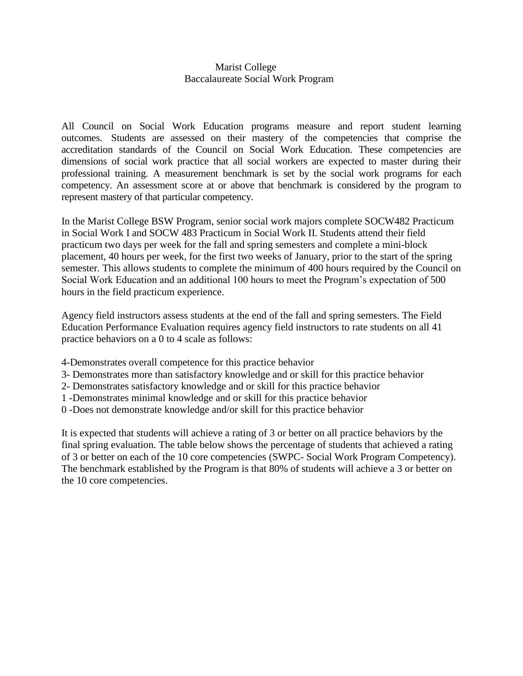## Marist College Baccalaureate Social Work Program

All Council on Social Work Education programs measure and report student learning outcomes. Students are assessed on their mastery of the competencies that comprise the accreditation standards of the Council on Social Work Education. These competencies are dimensions of social work practice that all social workers are expected to master during their professional training. A measurement benchmark is set by the social work programs for each competency. An assessment score at or above that benchmark is considered by the program to represent mastery of that particular competency.

In the Marist College BSW Program, senior social work majors complete SOCW482 Practicum in Social Work I and SOCW 483 Practicum in Social Work II. Students attend their field practicum two days per week for the fall and spring semesters and complete a mini-block placement, 40 hours per week, for the first two weeks of January, prior to the start of the spring semester. This allows students to complete the minimum of 400 hours required by the Council on Social Work Education and an additional 100 hours to meet the Program's expectation of 500 hours in the field practicum experience.

Agency field instructors assess students at the end of the fall and spring semesters. The Field Education Performance Evaluation requires agency field instructors to rate students on all 41 practice behaviors on a 0 to 4 scale as follows:

- 4-Demonstrates overall competence for this practice behavior
- 3- Demonstrates more than satisfactory knowledge and or skill for this practice behavior
- 2- Demonstrates satisfactory knowledge and or skill for this practice behavior
- 1 -Demonstrates minimal knowledge and or skill for this practice behavior
- 0 -Does not demonstrate knowledge and/or skill for this practice behavior

It is expected that students will achieve a rating of 3 or better on all practice behaviors by the final spring evaluation. The table below shows the percentage of students that achieved a rating of 3 or better on each of the 10 core competencies (SWPC- Social Work Program Competency). The benchmark established by the Program is that 80% of students will achieve a 3 or better on the 10 core competencies.